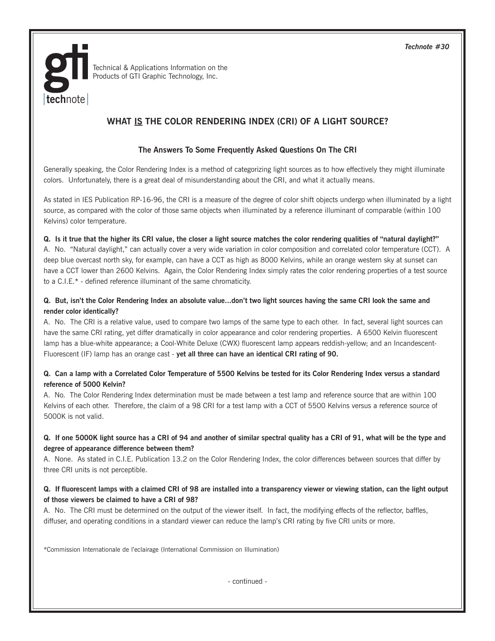*Technote #30*



Technical & Applications Information on the Products of GTI Graphic Technology, Inc.

# **WHAT IS THE COLOR RENDERING INDEX (CRI) OF A LIGHT SOURCE?**

## **The Answers To Some Frequently Asked Questions On The CRI**

Generally speaking, the Color Rendering Index is a method of categorizing light sources as to how effectively they might illuminate colors. Unfortunately, there is a great deal of misunderstanding about the CRI, and what it actually means.

As stated in IES Publication RP-16-96, the CRI is a measure of the degree of color shift objects undergo when illuminated by a light source, as compared with the color of those same objects when illuminated by a reference illuminant of comparable (within 100 Kelvins) color temperature.

#### **Q. Is it true that the higher its CRI value, the closer a light source matches the color rendering qualities of "natural daylight?"**

A. No. "Natural daylight," can actually cover a very wide variation in color composition and correlated color temperature (CCT). A deep blue overcast north sky, for example, can have a CCT as high as 8000 Kelvins, while an orange western sky at sunset can have a CCT lower than 2600 Kelvins. Again, the Color Rendering Index simply rates the color rendering properties of a test source to a C.I.E.\* - defined reference illuminant of the same chromaticity.

#### **Q. But, isn't the Color Rendering Index an absolute value...don't two light sources having the same CRI look the same and render color identically?**

A. No. The CRI is a relative value, used to compare two lamps of the same type to each other. In fact, several light sources can have the same CRI rating, yet differ dramatically in color appearance and color rendering properties. A 6500 Kelvin fluorescent lamp has a blue-white appearance; a Cool-White Deluxe (CWX) fluorescent lamp appears reddish-yellow; and an Incandescent-Fluorescent (IF) lamp has an orange cast - **yet all three can have an identical CRI rating of 90.**

#### **Q. Can a lamp with a Correlated Color Temperature of 5500 Kelvins be tested for its Color Rendering Index versus a standard reference of 5000 Kelvin?**

A. No. The Color Rendering Index determination must be made between a test lamp and reference source that are within 100 Kelvins of each other. Therefore, the claim of a 98 CRI for a test lamp with a CCT of 5500 Kelvins versus a reference source of 5000K is not valid.

## **Q. If one 5000K light source has a CRI of 94 and another of similar spectral quality has a CRI of 91, what will be the type and degree of appearance difference between them?**

A. None. As stated in C.I.E. Publication 13.2 on the Color Rendering Index, the color differences between sources that differ by three CRI units is not perceptible.

#### **Q. If fluorescent lamps with a claimed CRI of 98 are installed into a transparency viewer or viewing station, can the light output of those viewers be claimed to have a CRI of 98?**

A. No. The CRI must be determined on the output of the viewer itself. In fact, the modifying effects of the reflector, baffles, diffuser, and operating conditions in a standard viewer can reduce the lamp's CRI rating by five CRI units or more.

\*Commission Internationale de l'eclairage (International Commission on Illumination)

- continued -